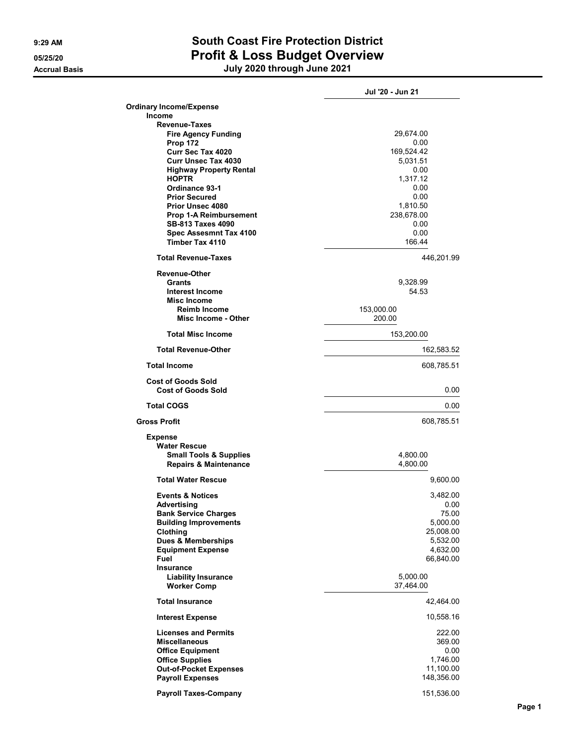## 9:29 AM South Coast Fire Protection District 05/25/20 **Profit & Loss Budget Overview**

Accrual Basis July 2020 through June 2021

|                                                             | Jul '20 - Jun 21       |
|-------------------------------------------------------------|------------------------|
| <b>Ordinary Income/Expense</b>                              |                        |
| <b>Income</b>                                               |                        |
| <b>Revenue-Taxes</b>                                        | 29,674.00              |
| <b>Fire Agency Funding</b><br><b>Prop 172</b>               | 0.00                   |
| Curr Sec Tax 4020                                           | 169,524.42             |
| <b>Curr Unsec Tax 4030</b>                                  | 5,031.51               |
| <b>Highway Property Rental</b>                              | 0.00                   |
| <b>HOPTR</b>                                                | 1,317.12               |
| Ordinance 93-1                                              | 0.00                   |
| <b>Prior Secured</b>                                        | 0.00                   |
| Prior Unsec 4080<br><b>Prop 1-A Reimbursement</b>           | 1,810.50<br>238,678.00 |
| SB-813 Taxes 4090                                           | 0.00                   |
| Spec Assesmnt Tax 4100                                      | 0.00                   |
| <b>Timber Tax 4110</b>                                      | 166.44                 |
| <b>Total Revenue-Taxes</b>                                  | 446,201.99             |
| <b>Revenue-Other</b>                                        |                        |
| <b>Grants</b>                                               | 9,328.99               |
| <b>Interest Income</b>                                      | 54.53                  |
| <b>Misc Income</b><br><b>Reimb Income</b>                   | 153,000.00             |
| Misc Income - Other                                         | 200.00                 |
| <b>Total Misc Income</b>                                    | 153,200.00             |
| <b>Total Revenue-Other</b>                                  | 162,583.52             |
| <b>Total Income</b>                                         | 608,785.51             |
| <b>Cost of Goods Sold</b>                                   |                        |
| <b>Cost of Goods Sold</b>                                   | 0.00                   |
| <b>Total COGS</b>                                           | 0.00                   |
| <b>Gross Profit</b>                                         | 608,785.51             |
| <b>Expense</b>                                              |                        |
| <b>Water Rescue</b>                                         |                        |
| <b>Small Tools &amp; Supplies</b>                           | 4,800.00               |
| <b>Repairs &amp; Maintenance</b>                            | 4,800.00               |
| <b>Total Water Rescue</b>                                   | 9,600.00               |
| <b>Events &amp; Notices</b>                                 | 3,482.00               |
| Advertising                                                 | 0.00                   |
| <b>Bank Service Charges</b><br><b>Building Improvements</b> | 75.00<br>5,000.00      |
| Clothing                                                    | 25,008.00              |
| <b>Dues &amp; Memberships</b>                               | 5,532.00               |
| <b>Equipment Expense</b>                                    | 4,632.00               |
| Fuel                                                        | 66,840.00              |
| Insurance                                                   |                        |
| <b>Liability Insurance</b><br><b>Worker Comp</b>            | 5,000.00<br>37,464.00  |
| <b>Total Insurance</b>                                      | 42,464.00              |
| <b>Interest Expense</b>                                     | 10,558.16              |
| <b>Licenses and Permits</b>                                 | 222.00                 |
| <b>Miscellaneous</b>                                        | 369.00                 |
| <b>Office Equipment</b>                                     | 0.00                   |
| <b>Office Supplies</b>                                      | 1,746.00               |
| <b>Out-of-Pocket Expenses</b>                               | 11,100.00              |
| <b>Payroll Expenses</b>                                     | 148,356.00             |
| <b>Payroll Taxes-Company</b>                                | 151,536.00             |